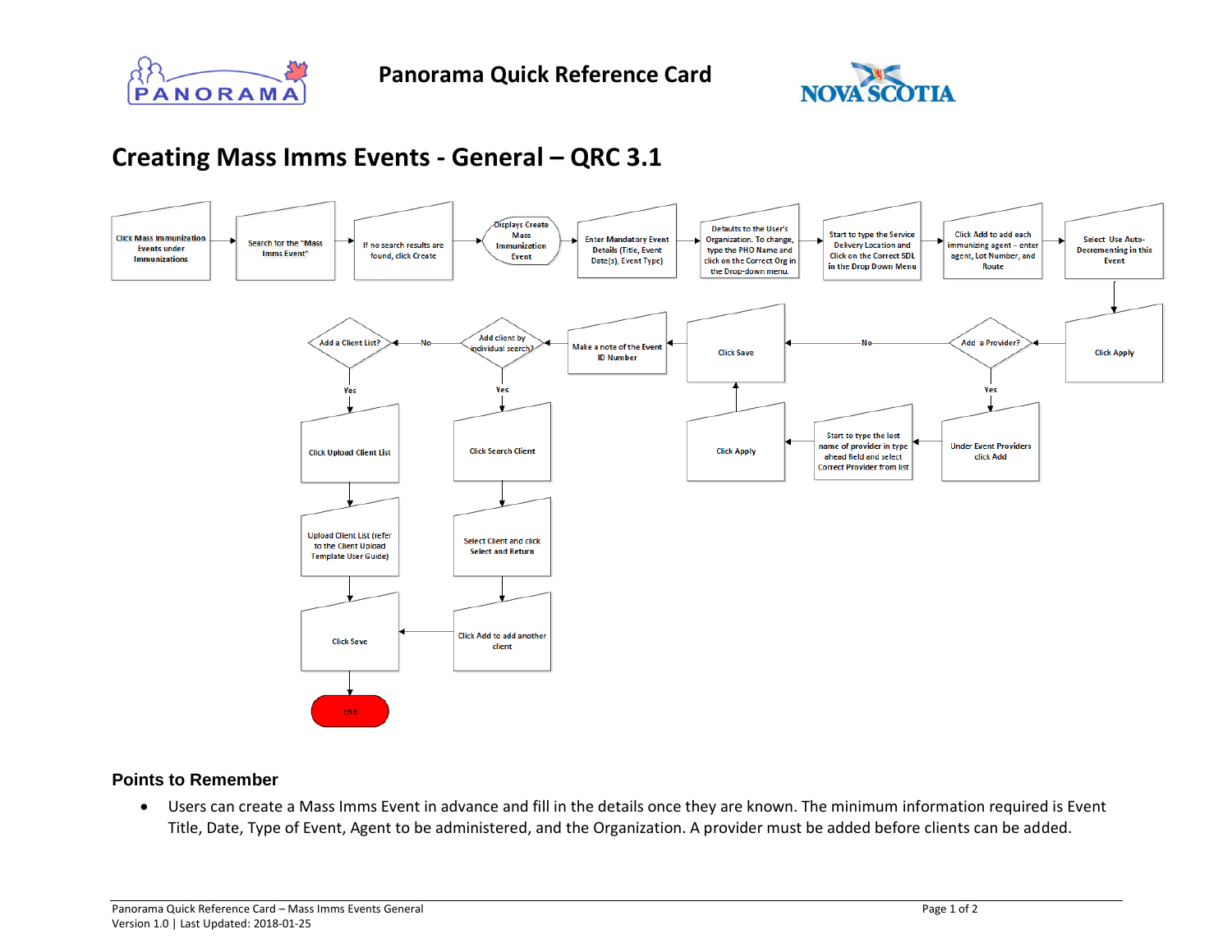



## **Creating Mass Imms Events - General – QRC 3.1**



## **Points to Remember**

• Users can create a Mass Imms Event in advance and fill in the details once they are known. The minimum information required is Event Title, Date, Type of Event, Agent to be administered, and the Organization. A provider must be added before clients can be added.